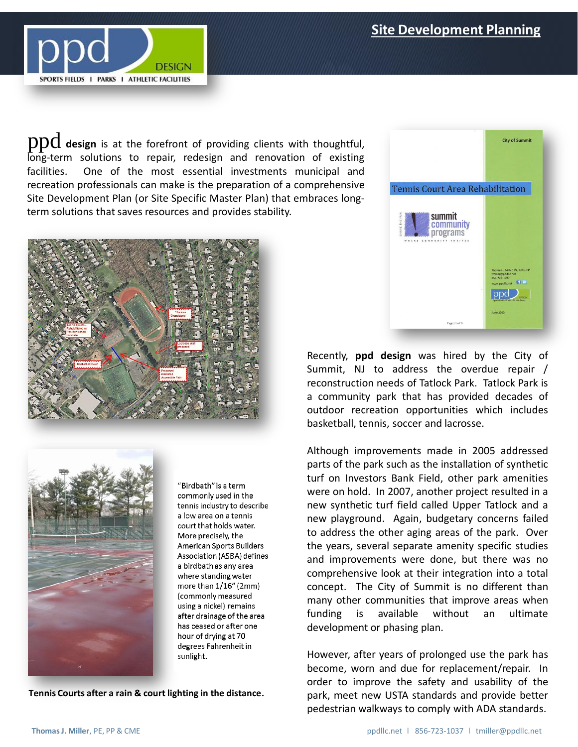

 $\operatorname{ppd}$  design is at the forefront of providing clients with thoughtful, long-term solutions to repair, redesign and renovation of existing facilities. One of the most essential investments municipal and recreation professionals can make is the preparation of a comprehensive Site Development Plan (or Site Specific Master Plan) that embraces longterm solutions that saves resources and provides stability.





"Birdbath" is a term commonly used in the tennis industry to describe a low area on a tennis court that holds water. More precisely, the American Sports Builders Association (ASBA) defines a birdbath as any area where standing water more than 1/16" (2mm) (commonly measured using a nickel) remains after drainage of the area has ceased or after one hour of drying at 70 degrees Fahrenheit in sunlight.

**Tennis Courts after a rain & court lighting in the distance.**



Recently, **ppd design** was hired by the City of Summit, NJ to address the overdue repair / reconstruction needs of Tatlock Park. Tatlock Park is a community park that has provided decades of outdoor recreation opportunities which includes basketball, tennis, soccer and lacrosse.

Although improvements made in 2005 addressed parts of the park such as the installation of synthetic turf on Investors Bank Field, other park amenities were on hold. In 2007, another project resulted in a new synthetic turf field called Upper Tatlock and a new playground. Again, budgetary concerns failed to address the other aging areas of the park. Over the years, several separate amenity specific studies and improvements were done, but there was no comprehensive look at their integration into a total concept. The City of Summit is no different than many other communities that improve areas when funding is available without an ultimate development or phasing plan.

However, after years of prolonged use the park has become, worn and due for replacement/repair. In order to improve the safety and usability of the park, meet new USTA standards and provide better pedestrian walkways to comply with ADA standards.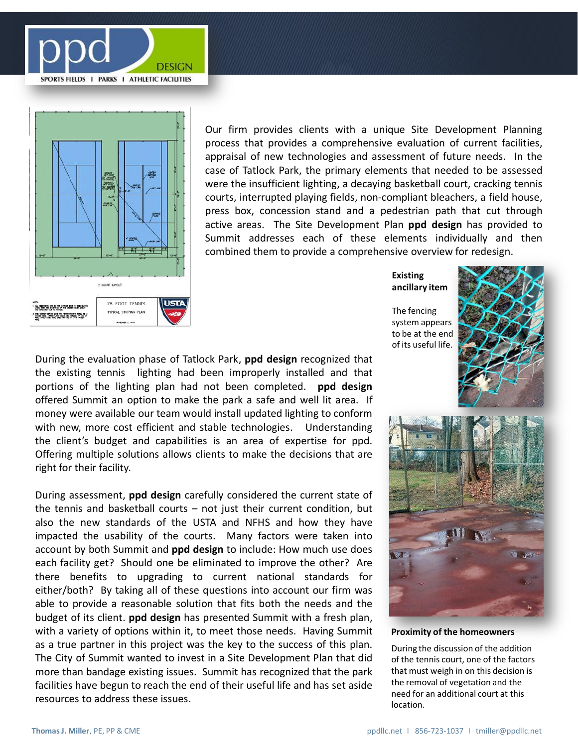



Our firm provides clients with a unique Site Development Planning process that provides a comprehensive evaluation of current facilities, appraisal of new technologies and assessment of future needs. In the case of Tatlock Park, the primary elements that needed to be assessed were the insufficient lighting, a decaying basketball court, cracking tennis courts, interrupted playing fields, non-compliant bleachers, a field house, press box, concession stand and a pedestrian path that cut through active areas. The Site Development Plan **ppd design** has provided to Summit addresses each of these elements individually and then combined them to provide a comprehensive overview for redesign.

**Existing ancillary item**

The fencing system appears to be at the end of its useful life.



During the evaluation phase of Tatlock Park, **ppd design** recognized that the existing tennis lighting had been improperly installed and that portions of the lighting plan had not been completed. **ppd design** offered Summit an option to make the park a safe and well lit area. If money were available our team would install updated lighting to conform with new, more cost efficient and stable technologies. Understanding the client's budget and capabilities is an area of expertise for ppd. Offering multiple solutions allows clients to make the decisions that are right for their facility.

During assessment, **ppd design** carefully considered the current state of the tennis and basketball courts – not just their current condition, but also the new standards of the USTA and NFHS and how they have impacted the usability of the courts. Many factors were taken into account by both Summit and **ppd design** to include: How much use does each facility get? Should one be eliminated to improve the other? Are there benefits to upgrading to current national standards for either/both? By taking all of these questions into account our firm was able to provide a reasonable solution that fits both the needs and the budget of its client. **ppd design** has presented Summit with a fresh plan, with a variety of options within it, to meet those needs. Having Summit as a true partner in this project was the key to the success of this plan. The City of Summit wanted to invest in a Site Development Plan that did more than bandage existing issues. Summit has recognized that the park facilities have begun to reach the end of their useful life and has set aside resources to address these issues.



**Proximity of the homeowners**

During the discussion of the addition of the tennis court, one of the factors that must weigh in on this decision is the removal of vegetation and the need for an additional court at this location.